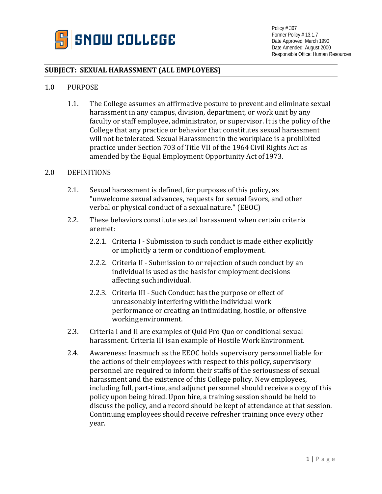

# **SUBJECT: SEXUAL HARASSMENT (ALL EMPLOYEES)**

#### 1.0 PURPOSE

1.1. The College assumes an affirmative posture to prevent and eliminate sexual harassment in any campus, division, department, or work unit by any faculty or staff employee, administrator, or supervisor. It is the policy of the College that any practice or behavior that constitutes sexual harassment will not betolerated. Sexual Harassment in the workplace is a prohibited practice under Section 703 of Title VII of the 1964 Civil Rights Act as amended by the Equal Employment Opportunity Act of1973.

#### 2.0 DEFINITIONS

- 2.1. Sexual harassment is defined, for purposes of this policy, as "unwelcome sexual advances, requests for sexual favors, and other verbal or physical conduct of a sexualnature." (EEOC)
- 2.2. These behaviors constitute sexual harassment when certain criteria aremet:
	- 2.2.1. Criteria I Submission to such conduct is made either explicitly or implicitly a term or conditionof employment.
	- 2.2.2. Criteria II Submission to or rejection of such conduct by an individual is used as the basisfor employment decisions affecting such individual.
	- 2.2.3. Criteria III Such Conduct has the purpose or effect of unreasonably interfering withthe individual work performance or creating an intimidating, hostile, or offensive workingenvironment.
- 2.3. Criteria I and II are examples of Quid Pro Quo or conditional sexual harassment. Criteria III isan example of Hostile Work Environment.
- 2.4. Awareness: Inasmuch as the EEOC holds supervisory personnel liable for the actions of their employees with respect to this policy, supervisory personnel are required to inform their staffs of the seriousness of sexual harassment and the existence of this College policy. New employees, including full, part-time, and adjunct personnel should receive a copy of this policy upon being hired. Upon hire, a training session should be held to discuss the policy, and a record should be kept of attendance at that session. Continuing employees should receive refresher training once every other year.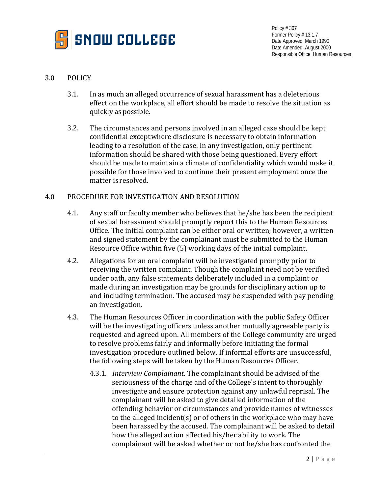

## 3.0 POLICY

- 3.1. In as much an alleged occurrence of sexual harassment has a deleterious effect on the workplace, all effort should be made to resolve the situation as quickly as possible.
- 3.2. The circumstances and persons involved in an alleged case should be kept confidential exceptwhere disclosure is necessary to obtain information leading to a resolution of the case. In any investigation, only pertinent information should be shared with those being questioned. Every effort should be made to maintain a climate of confidentiality which would make it possible for those involved to continue their present employment once the matter is resolved.

### 4.0 PROCEDURE FOR INVESTIGATION AND RESOLUTION

- 4.1. Any staff or faculty member who believes that he/she has been the recipient of sexual harassment should promptly report this to the Human Resources Office. The initial complaint can be either oral or written; however, a written and signed statement by the complainant must be submitted to the Human Resource Office within five (5) working days of the initial complaint.
- 4.2. Allegations for an oral complaint will be investigated promptly prior to receiving the written complaint. Though the complaint need not be verified under oath, any false statements deliberately included in a complaint or made during an investigation may be grounds for disciplinary action up to and including termination. The accused may be suspended with pay pending an investigation.
- 4.3. The Human Resources Officer in coordination with the public Safety Officer will be the investigating officers unless another mutually agreeable party is requested and agreed upon. All members of the College community are urged to resolve problems fairly and informally before initiating the formal investigation procedure outlined below. If informal efforts are unsuccessful, the following steps will be taken by the Human Resources Officer.
	- 4.3.1. *Interview Complainant*. The complainant should be advised of the seriousness of the charge and of the College's intent to thoroughly investigate and ensure protection against any unlawful reprisal. The complainant will be asked to give detailed information of the offending behavior or circumstances and provide names of witnesses to the alleged incident(s) or of others in the workplace who may have been harassed by the accused. The complainant will be asked to detail how the alleged action affected his/her ability to work. The complainant will be asked whether or not he/she has confronted the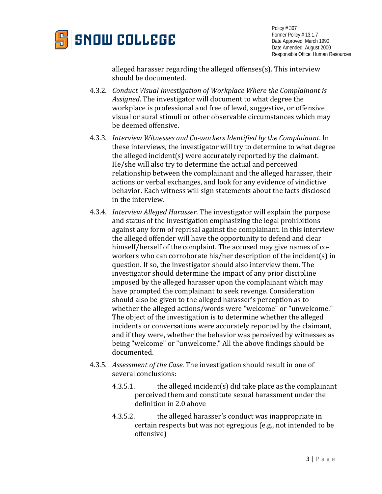

alleged harasser regarding the alleged offenses(s). This interview should be documented.

- 4.3.2. *Conduct Visual Investigation of Workplace Where the Complainant is Assigned*. The investigator will document to what degree the workplace is professional and free of lewd, suggestive, or offensive visual or aural stimuli or other observable circumstances which may be deemed offensive.
- 4.3.3. *Interview Witnesses and Co-workers Identified by the Complainant*. In these interviews, the investigator will try to determine to what degree the alleged incident(s) were accurately reported by the claimant. He/she will also try to determine the actual and perceived relationship between the complainant and the alleged harasser, their actions or verbal exchanges, and look for any evidence of vindictive behavior. Each witness will sign statements about the facts disclosed in the interview.
- 4.3.4. *Interview Alleged Harasser*. The investigator will explain the purpose and status of the investigation emphasizing the legal prohibitions against any form of reprisal against the complainant. In this interview the alleged offender will have the opportunity to defend and clear himself/herself of the complaint. The accused may give names of coworkers who can corroborate his/her description of the incident(s) in question. If so, the investigator should also interview them. The investigator should determine the impact of any prior discipline imposed by the alleged harasser upon the complainant which may have prompted the complainant to seek revenge. Consideration should also be given to the alleged harasser's perception as to whether the alleged actions/words were "welcome" or "unwelcome." The object of the investigation is to determine whether the alleged incidents or conversations were accurately reported by the claimant, and if they were, whether the behavior was perceived by witnesses as being "welcome" or "unwelcome." All the above findings should be documented.
- 4.3.5. *Assessment of the Case*. The investigation should result in one of several conclusions:
	- 4.3.5.1. the alleged incident(s) did take place as the complainant perceived them and constitute sexual harassment under the definition in 2.0 above
	- 4.3.5.2. the alleged harasser's conduct was inappropriate in certain respects but was not egregious (e.g., not intended to be offensive)